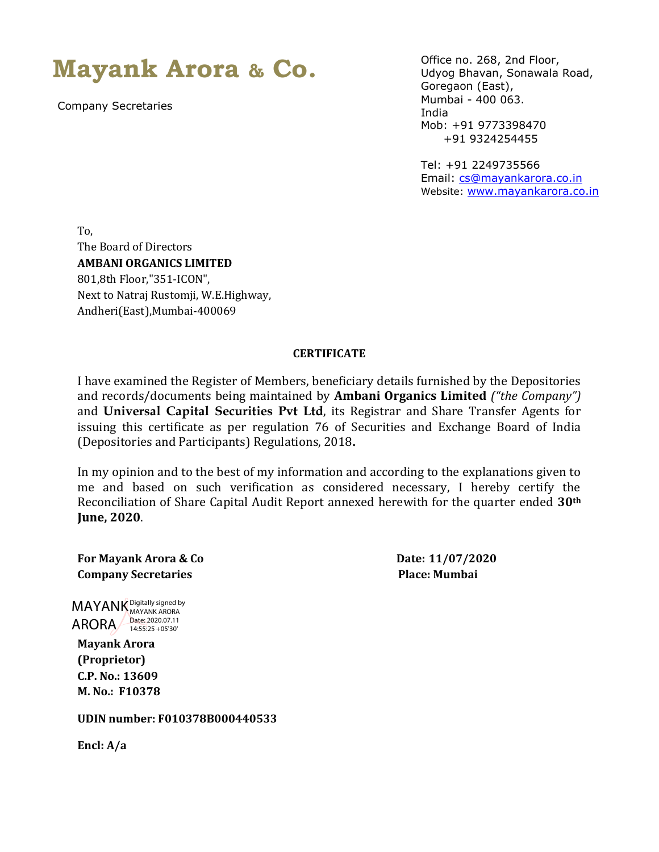**Mayank Arora & Co.**

Company Secretaries

Office no. 268, 2nd Floor, Udyog Bhavan, Sonawala Road, Goregaon (East), Mumbai - 400 063. India Mob: +91 9773398470 +91 9324254455

Tel: +91 2249735566 Email: [cs@mayankarora.co.in](mailto:cs@mayankarora.co.in) Website: [www.mayankarora.co.in](http://www.mayankarora.co.in/)

To, The Board of Directors **AMBANI ORGANICS LIMITED** 801,8th Floor,"351-ICON", Next to Natraj Rustomji, W.E.Highway, Andheri(East),Mumbai-400069

## **CERTIFICATE**

I have examined the Register of Members, beneficiary details furnished by the Depositories and records/documents being maintained by **Ambani Organics Limited** *("the Company")*  and **Universal Capital Securities Pvt Ltd**, its Registrar and Share Transfer Agents for issuing this certificate as per regulation 76 of Securities and Exchange Board of India (Depositories and Participants) Regulations, 2018**.**

In my opinion and to the best of my information and according to the explanations given to me and based on such verification as considered necessary, I hereby certify the Reconciliation of Share Capital Audit Report annexed herewith for the quarter ended **30th June, 2020**.

**For Mayank Arora & Co Date: 11/07/2020 Company Secretaries Place: Mumbai**

**ARORA** Date: 2020.07.11 MAYANK Digitally signed by MAYANK ARORA 14:55:25 +05'30'

**Mayank Arora (Proprietor) C.P. No.: 13609 M. No.: F10378**

**UDIN number: F010378B000440533**

**Encl: A/a**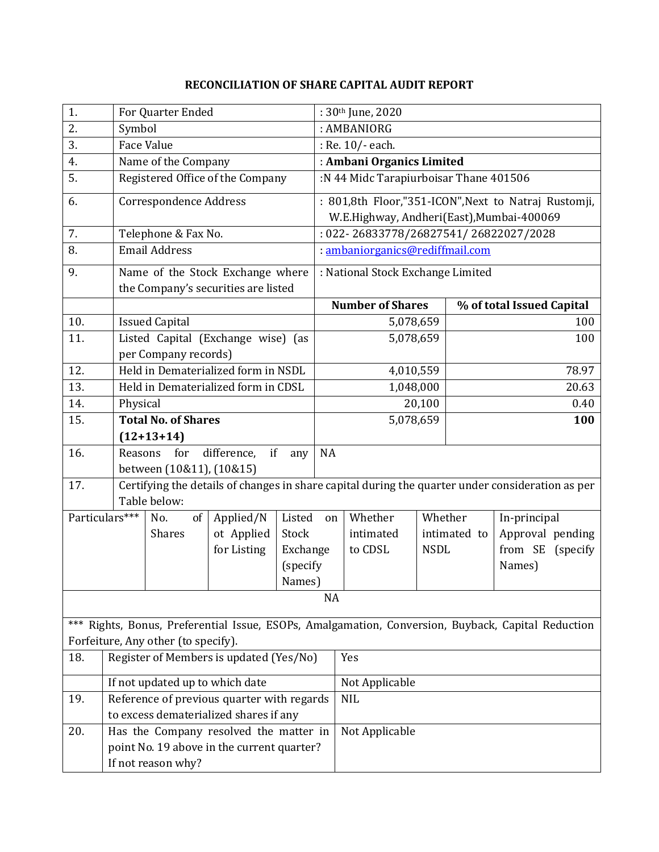## **RECONCILIATION OF SHARE CAPITAL AUDIT REPORT**

| 1.                                                                                                                                        | For Quarter Ended                                                                    |                                                                                                                  |                                     |          | : 30th June, 2020                                    |                                        |             |                           |                  |  |  |
|-------------------------------------------------------------------------------------------------------------------------------------------|--------------------------------------------------------------------------------------|------------------------------------------------------------------------------------------------------------------|-------------------------------------|----------|------------------------------------------------------|----------------------------------------|-------------|---------------------------|------------------|--|--|
| 2.                                                                                                                                        |                                                                                      | Symbol                                                                                                           |                                     |          |                                                      | : AMBANIORG                            |             |                           |                  |  |  |
| 3.                                                                                                                                        |                                                                                      | <b>Face Value</b>                                                                                                |                                     |          |                                                      | : Re. 10/- each.                       |             |                           |                  |  |  |
| 4.                                                                                                                                        |                                                                                      | Name of the Company                                                                                              |                                     |          |                                                      | : Ambani Organics Limited              |             |                           |                  |  |  |
| 5.                                                                                                                                        |                                                                                      | Registered Office of the Company                                                                                 |                                     |          |                                                      | :N 44 Midc Tarapiurboisar Thane 401506 |             |                           |                  |  |  |
| 6.                                                                                                                                        | Correspondence Address                                                               |                                                                                                                  |                                     |          | : 801,8th Floor,"351-ICON", Next to Natraj Rustomji, |                                        |             |                           |                  |  |  |
|                                                                                                                                           |                                                                                      |                                                                                                                  |                                     |          | W.E.Highway, Andheri(East), Mumbai-400069            |                                        |             |                           |                  |  |  |
| 7.                                                                                                                                        | Telephone & Fax No.                                                                  |                                                                                                                  |                                     |          | : 022-26833778/26827541/26822027/2028                |                                        |             |                           |                  |  |  |
| 8.                                                                                                                                        | <b>Email Address</b>                                                                 |                                                                                                                  |                                     |          | : ambaniorganics@rediffmail.com                      |                                        |             |                           |                  |  |  |
| 9.                                                                                                                                        | Name of the Stock Exchange where                                                     |                                                                                                                  |                                     |          | : National Stock Exchange Limited                    |                                        |             |                           |                  |  |  |
|                                                                                                                                           |                                                                                      |                                                                                                                  | the Company's securities are listed |          |                                                      |                                        |             |                           |                  |  |  |
|                                                                                                                                           |                                                                                      |                                                                                                                  |                                     |          | <b>Number of Shares</b>                              |                                        |             | % of total Issued Capital |                  |  |  |
| 10.                                                                                                                                       |                                                                                      | <b>Issued Capital</b>                                                                                            |                                     |          |                                                      | 5,078,659                              |             |                           | 100              |  |  |
| 11.                                                                                                                                       |                                                                                      | Listed Capital (Exchange wise) (as                                                                               |                                     |          |                                                      | 5,078,659                              |             |                           | 100              |  |  |
|                                                                                                                                           |                                                                                      | per Company records)                                                                                             |                                     |          |                                                      |                                        |             |                           |                  |  |  |
| 12.                                                                                                                                       |                                                                                      | Held in Dematerialized form in NSDL                                                                              |                                     |          |                                                      | 4,010,559                              |             |                           | 78.97            |  |  |
| 13.                                                                                                                                       |                                                                                      | Held in Dematerialized form in CDSL                                                                              |                                     |          |                                                      | 1,048,000                              |             |                           | 20.63            |  |  |
| 14.                                                                                                                                       |                                                                                      | Physical                                                                                                         |                                     |          |                                                      | 20,100                                 |             |                           | 0.40             |  |  |
| 15.                                                                                                                                       |                                                                                      | <b>Total No. of Shares</b>                                                                                       |                                     |          | 5,078,659                                            |                                        |             | 100                       |                  |  |  |
|                                                                                                                                           | $(12+13+14)$                                                                         |                                                                                                                  |                                     |          |                                                      |                                        |             |                           |                  |  |  |
| 16.                                                                                                                                       | Reasons<br>for<br>difference,<br>if<br>any                                           |                                                                                                                  |                                     |          |                                                      | <b>NA</b>                              |             |                           |                  |  |  |
|                                                                                                                                           |                                                                                      | between (10&11), (10&15)                                                                                         |                                     |          |                                                      |                                        |             |                           |                  |  |  |
| 17.                                                                                                                                       |                                                                                      | Certifying the details of changes in share capital during the quarter under consideration as per<br>Table below: |                                     |          |                                                      |                                        |             |                           |                  |  |  |
| Particulars***                                                                                                                            |                                                                                      | No.<br>of                                                                                                        | Applied/N                           | Listed   | on                                                   | Whether                                | Whether     |                           | In-principal     |  |  |
|                                                                                                                                           |                                                                                      | <b>Shares</b>                                                                                                    | ot Applied                          | Stock    |                                                      | intimated                              |             | intimated to              | Approval pending |  |  |
|                                                                                                                                           |                                                                                      |                                                                                                                  | for Listing                         | Exchange |                                                      | to CDSL                                | <b>NSDL</b> |                           | from SE (specify |  |  |
|                                                                                                                                           |                                                                                      |                                                                                                                  |                                     | (specify |                                                      |                                        |             |                           | Names)           |  |  |
|                                                                                                                                           |                                                                                      |                                                                                                                  | Names)                              |          |                                                      |                                        |             |                           |                  |  |  |
| <b>NA</b>                                                                                                                                 |                                                                                      |                                                                                                                  |                                     |          |                                                      |                                        |             |                           |                  |  |  |
|                                                                                                                                           |                                                                                      |                                                                                                                  |                                     |          |                                                      |                                        |             |                           |                  |  |  |
| *** Rights, Bonus, Preferential Issue, ESOPs, Amalgamation, Conversion, Buyback, Capital Reduction<br>Forfeiture, Any other (to specify). |                                                                                      |                                                                                                                  |                                     |          |                                                      |                                        |             |                           |                  |  |  |
| 18.                                                                                                                                       | Register of Members is updated (Yes/No)<br>Yes                                       |                                                                                                                  |                                     |          |                                                      |                                        |             |                           |                  |  |  |
|                                                                                                                                           |                                                                                      |                                                                                                                  |                                     |          |                                                      |                                        |             |                           |                  |  |  |
|                                                                                                                                           | If not updated up to which date                                                      |                                                                                                                  |                                     |          | Not Applicable                                       |                                        |             |                           |                  |  |  |
| 19.                                                                                                                                       | Reference of previous quarter with regards<br>to excess dematerialized shares if any |                                                                                                                  |                                     |          |                                                      | <b>NIL</b>                             |             |                           |                  |  |  |
| 20.                                                                                                                                       | Has the Company resolved the matter in<br>Not Applicable                             |                                                                                                                  |                                     |          |                                                      |                                        |             |                           |                  |  |  |
|                                                                                                                                           | point No. 19 above in the current quarter?                                           |                                                                                                                  |                                     |          |                                                      |                                        |             |                           |                  |  |  |
|                                                                                                                                           | If not reason why?                                                                   |                                                                                                                  |                                     |          |                                                      |                                        |             |                           |                  |  |  |
|                                                                                                                                           |                                                                                      |                                                                                                                  |                                     |          |                                                      |                                        |             |                           |                  |  |  |